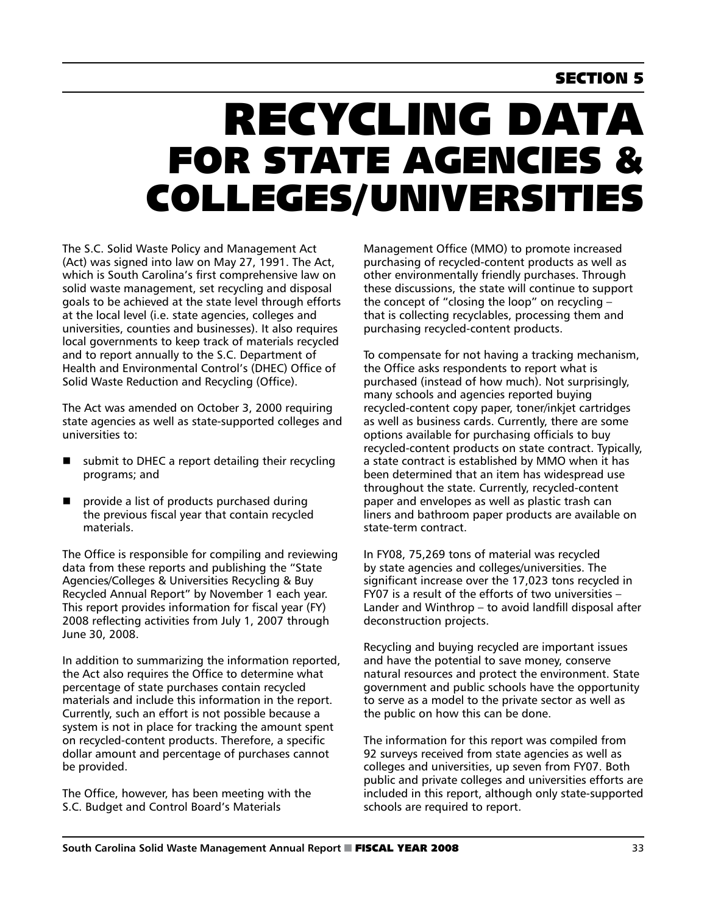## **SECTION 5**

# Recycling Data **FOR STATE AGENCIES &** Colleges/Universities

The S.C. Solid Waste Policy and Management Act (Act) was signed into law on May 27, 1991. The Act, which is South Carolina's first comprehensive law on solid waste management, set recycling and disposal goals to be achieved at the state level through efforts at the local level (i.e. state agencies, colleges and universities, counties and businesses). It also requires local governments to keep track of materials recycled and to report annually to the S.C. Department of Health and Environmental Control's (DHEC) Office of Solid Waste Reduction and Recycling (Office).

The Act was amended on October 3, 2000 requiring state agencies as well as state-supported colleges and universities to:

- submit to DHEC a report detailing their recycling programs; and
- provide a list of products purchased during the previous fiscal year that contain recycled materials.

The Office is responsible for compiling and reviewing data from these reports and publishing the "State Agencies/Colleges & Universities Recycling & Buy Recycled Annual Report" by November 1 each year. This report provides information for fiscal year (FY) 2008 reflecting activities from July 1, 2007 through June 30, 2008.

In addition to summarizing the information reported, the Act also requires the Office to determine what percentage of state purchases contain recycled materials and include this information in the report. Currently, such an effort is not possible because a system is not in place for tracking the amount spent on recycled-content products. Therefore, a specific dollar amount and percentage of purchases cannot be provided.

The Office, however, has been meeting with the S.C. Budget and Control Board's Materials

Management Office (MMO) to promote increased purchasing of recycled-content products as well as other environmentally friendly purchases. Through these discussions, the state will continue to support the concept of "closing the loop" on recycling – that is collecting recyclables, processing them and purchasing recycled-content products.

To compensate for not having a tracking mechanism, the Office asks respondents to report what is purchased (instead of how much). Not surprisingly, many schools and agencies reported buying recycled-content copy paper, toner/inkjet cartridges as well as business cards. Currently, there are some options available for purchasing officials to buy recycled-content products on state contract. Typically, a state contract is established by MMO when it has been determined that an item has widespread use throughout the state. Currently, recycled-content paper and envelopes as well as plastic trash can liners and bathroom paper products are available on state-term contract.

In FY08, 75,269 tons of material was recycled by state agencies and colleges/universities. The significant increase over the 17,023 tons recycled in FY07 is a result of the efforts of two universities – Lander and Winthrop – to avoid landfill disposal after deconstruction projects.

Recycling and buying recycled are important issues and have the potential to save money, conserve natural resources and protect the environment. State government and public schools have the opportunity to serve as a model to the private sector as well as the public on how this can be done.

The information for this report was compiled from 92 surveys received from state agencies as well as colleges and universities, up seven from FY07. Both public and private colleges and universities efforts are included in this report, although only state-supported schools are required to report.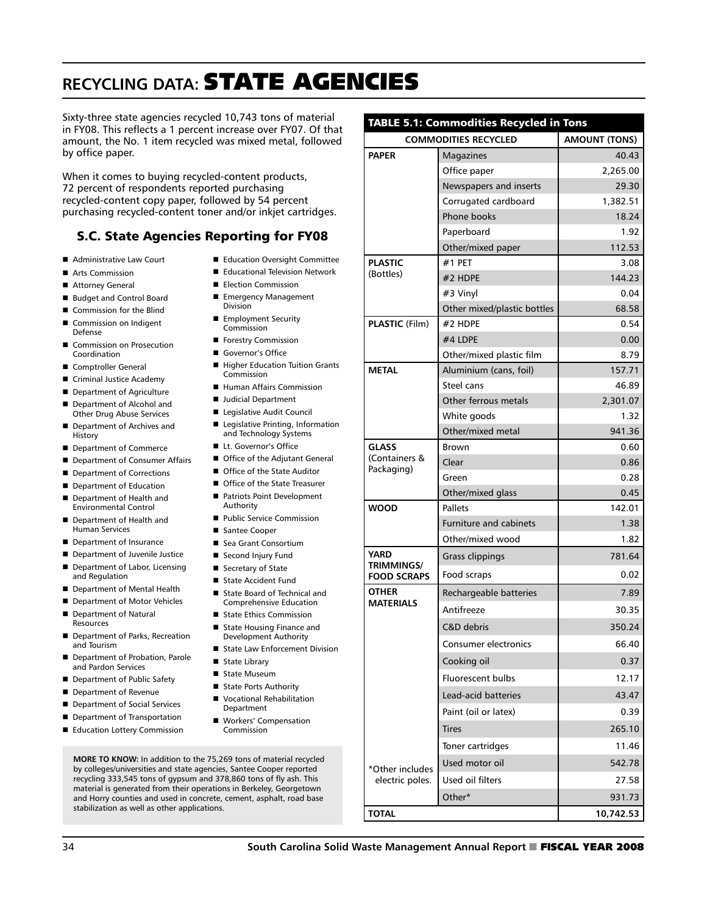## **RECYCLING DATA: STATE AGENCIES**

Sixty-three state agencies recycled 10,743 tons of material in FY08. This reflects a 1 percent increase over FY07. Of that amount, the No. 1 item recycled was mixed metal, followed by office paper.

When it comes to buying recycled-content products, 72 percent of respondents reported purchasing recycled-content copy paper, followed by 54 percent purchasing recycled-content toner and/or inkjet cartridges.

#### S.C. State Agencies Reporting for FY08

- Administrative Law Court
- Arts Commission
- Attorney General
- Budget and Control Board
- Commission for the Blind
- Commission on Indigent Defense
- Commission on Prosecution Coordination
- Comptroller General
- Criminal Justice Academy
- Department of Agriculture Department of Alcohol and
- Other Drug Abuse Services
- Department of Archives and History
- Department of Commerce
- Department of Consumer Affairs
- Department of Corrections Department of Education
- Department of Health and Environmental Control
- Department of Health and Human Services
- Department of Insurance
- **n** Department of Juvenile Justice
- Department of Labor, Licensing
- and Regulation Department of Mental Health
- Department of Motor Vehicles
- Department of Natural Resources
- Department of Parks, Recreation and Tourism
- Department of Probation, Parole and Pardon Services
- Department of Public Safety
- Department of Revenue
- Department of Social Services
- Department of Transportation
- Education Lottery Commission
- Education Oversight Committee ■ Educational Television Network
- **E** Election Commission
- Emergency Management
- Division
- **Employment Security** Commission
- **n** Forestry Commission
- Governor's Office
- Higher Education Tuition Grants Commission
- Human Affairs Commission
- Judicial Department
- Legislative Audit Council ■ Legislative Printing, Information and Technology Systems
- Lt. Governor's Office
- Office of the Adjutant General
- Office of the State Auditor
- Office of the State Treasurer
- Patriots Point Development Authority
- Public Service Commission
- Santee Cooper
- Sea Grant Consortium
- Second Injury Fund
- Secretary of State
- State Accident Fund
- State Board of Technical and Comprehensive Education
- State Ethics Commission ■ State Housing Finance and
- Development Authority
- State Law Enforcement Division
- State Library ■ State Museum
- State Ports Authority
- **Vocational Rehabilitation** Department
- Workers' Compensation Commission

**MORE TO KNOW:** In addition to the 75,269 tons of material recycled by colleges/universities and state agencies, Santee Cooper reported recycling 333,545 tons of gypsum and 378,860 tons of fly ash. This material is generated from their operations in Berkeley, Georgetown and Horry counties and used in concrete, cement, asphalt, road base stabilization as well as other applications.

|                                                        | <b>COMMODITIES RECYCLED</b>   | <b>AMOUNT (TONS)</b> |
|--------------------------------------------------------|-------------------------------|----------------------|
| <b>PAPER</b>                                           | Magazines                     | 40.43                |
|                                                        | Office paper                  | 2,265.00             |
|                                                        | Newspapers and inserts        | 29.30                |
|                                                        | Corrugated cardboard          | 1,382.51             |
|                                                        | Phone books                   | 18.24                |
|                                                        | Paperboard                    | 1.92                 |
|                                                        | Other/mixed paper             | 112.53               |
| <b>PLASTIC</b><br>(Bottles)                            | $#1$ PET                      | 3.08                 |
|                                                        | #2 HDPE                       | 144.23               |
|                                                        | #3 Vinyl                      | 0.04                 |
|                                                        | Other mixed/plastic bottles   | 68.58                |
| PLASTIC (Film)                                         | #2 HDPE                       | 0.54                 |
|                                                        | #4 LDPE                       | 0.00                 |
|                                                        | Other/mixed plastic film      | 8.79                 |
| <b>METAL</b>                                           | Aluminium (cans, foil)        | 157.71               |
|                                                        | Steel cans                    | 46.89                |
|                                                        | Other ferrous metals          | 2,301.07             |
|                                                        | White goods                   | 1.32                 |
|                                                        | Other/mixed metal             | 941.36               |
| <b>GLASS</b><br>(Containers &<br>Packaging)            | Brown                         | 0.60                 |
|                                                        | Clear                         | 0.86                 |
|                                                        | Green                         | 0.28                 |
|                                                        | Other/mixed glass             | 0.45                 |
| <b>WOOD</b>                                            | Pallets                       | 142.01               |
|                                                        | <b>Furniture and cabinets</b> | 1.38                 |
|                                                        | Other/mixed wood              | 1.82                 |
| <b>YARD</b><br><b>TRIMMINGS/</b><br><b>FOOD SCRAPS</b> | <b>Grass clippings</b>        | 781.64               |
|                                                        | Food scraps                   | 0.02                 |
| <b>OTHER</b><br><b>MATERIALS</b>                       | Rechargeable batteries        | 7.89                 |
|                                                        | Antifreeze                    | 30.35                |
|                                                        | C&D debris                    | 350.24               |
|                                                        | <b>Consumer electronics</b>   | 66.40                |
|                                                        | Cooking oil                   | 0.37                 |
|                                                        | Fluorescent bulbs             | 12.17                |
|                                                        | Lead-acid batteries           | 43.47                |
|                                                        | Paint (oil or latex)          | 0.39                 |
|                                                        | <b>Tires</b>                  | 265.10               |
|                                                        | Toner cartridges              | 11.46                |
| *Other includes                                        | Used motor oil                | 542.78               |
| electric poles.                                        | Used oil filters              | 27.58                |
|                                                        |                               |                      |

Other\* 931.73

**TOTAL 10,742.53**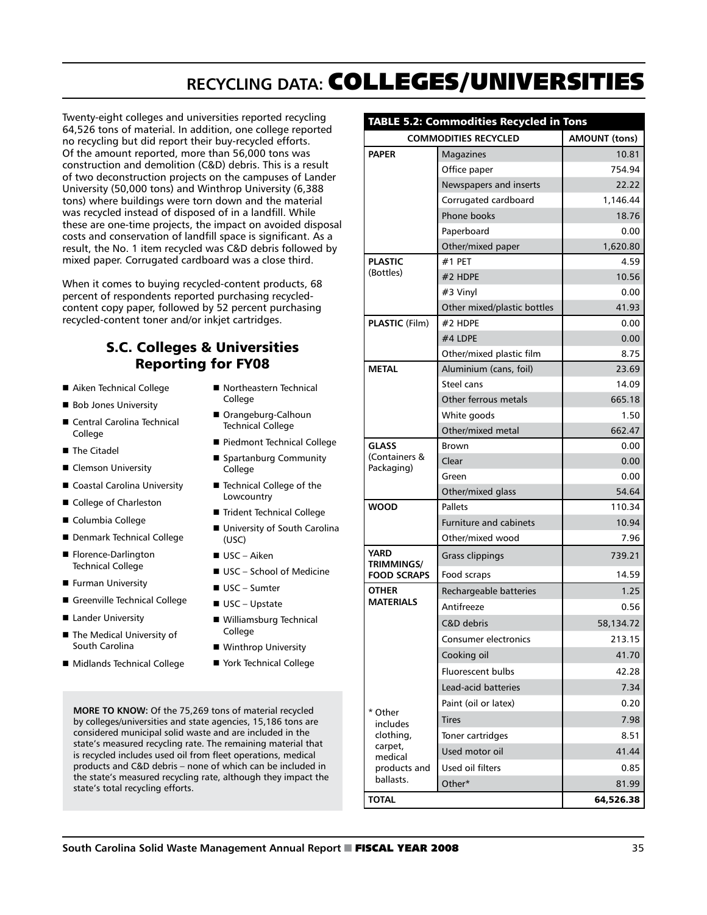# **Recycling Data:** Colleges/Universities

Twenty-eight colleges and universities reported recycling 64,526 tons of material. In addition, one college reported no recycling but did report their buy-recycled efforts. Of the amount reported, more than 56,000 tons was construction and demolition (C&D) debris. This is a result of two deconstruction projects on the campuses of Lander University (50,000 tons) and Winthrop University (6,388 tons) where buildings were torn down and the material was recycled instead of disposed of in a landfill. While these are one-time projects, the impact on avoided disposal costs and conservation of landfill space is significant. As a result, the No. 1 item recycled was C&D debris followed by mixed paper. Corrugated cardboard was a close third.

When it comes to buying recycled-content products, 68 percent of respondents reported purchasing recycledcontent copy paper, followed by 52 percent purchasing recycled-content toner and/or inkjet cartridges.

### S.C. Colleges & Universities Reporting for FY08

- Aiken Technical College
- **Bob Jones University**
- Central Carolina Technical College
- **n** The Citadel
- Clemson University
- Coastal Carolina University
- College of Charleston
- Columbia College
- Denmark Technical College
- Florence-Darlington Technical College
- **Furman University**
- Greenville Technical College
- Lander University
- The Medical University of South Carolina
- Midlands Technical College
- Northeastern Technical College
- Orangeburg-Calhoun Technical College
- Piedmont Technical College
- Spartanburg Community College
- $\blacksquare$  Technical College of the Lowcountry
- Trident Technical College
- University of South Carolina (USC)
- $\blacksquare$  USC Aiken
- $\blacksquare$  USC School of Medicine
- $\blacksquare$  USC Sumter
- $\blacksquare$  USC Upstate
- Williamsburg Technical College
- Winthrop University
- York Technical College

**MORE TO KNOW:** Of the 75,269 tons of material recycled by colleges/universities and state agencies, 15,186 tons are considered municipal solid waste and are included in the state's measured recycling rate. The remaining material that is recycled includes used oil from fleet operations, medical products and C&D debris – none of which can be included in the state's measured recycling rate, although they impact the state's total recycling efforts.

| TABLE 5.2: Commodities Recycled in Tons                                             |                               |                      |  |
|-------------------------------------------------------------------------------------|-------------------------------|----------------------|--|
| <b>COMMODITIES RECYCLED</b>                                                         |                               | <b>AMOUNT (tons)</b> |  |
| <b>PAPER</b>                                                                        | Magazines                     | 10.81                |  |
|                                                                                     | Office paper                  | 754.94               |  |
|                                                                                     | Newspapers and inserts        | 22.22                |  |
|                                                                                     | Corrugated cardboard          | 1,146.44             |  |
|                                                                                     | Phone books                   | 18.76                |  |
|                                                                                     | Paperboard                    | 0.00                 |  |
|                                                                                     | Other/mixed paper             | 1,620.80             |  |
| <b>PLASTIC</b><br>(Bottles)                                                         | #1 PFT                        | 4.59                 |  |
|                                                                                     | #2 HDPE                       | 10.56                |  |
|                                                                                     | #3 Vinyl                      | 0.00                 |  |
|                                                                                     | Other mixed/plastic bottles   | 41.93                |  |
| PLASTIC (Film)                                                                      | #2 HDPE                       | 0.00                 |  |
|                                                                                     | #4 LDPE                       | 0.00                 |  |
|                                                                                     | Other/mixed plastic film      | 8.75                 |  |
| <b>METAL</b>                                                                        | Aluminium (cans, foil)        | 23.69                |  |
|                                                                                     | Steel cans                    | 14.09                |  |
|                                                                                     | Other ferrous metals          | 665.18               |  |
|                                                                                     | White goods                   | 1.50                 |  |
|                                                                                     | Other/mixed metal             | 662.47               |  |
| <b>GLASS</b><br>(Containers &<br>Packaging)                                         | Brown                         | 0.00                 |  |
|                                                                                     | Clear                         | 0.00                 |  |
|                                                                                     | Green                         | 0.00                 |  |
|                                                                                     | Other/mixed glass             | 54.64                |  |
| <b>WOOD</b>                                                                         | Pallets                       | 110.34               |  |
|                                                                                     | <b>Furniture and cabinets</b> | 10.94                |  |
|                                                                                     | Other/mixed wood              | 7.96                 |  |
| <b>YARD</b><br><b>TRIMMINGS/</b><br><b>FOOD SCRAPS</b>                              | <b>Grass clippings</b>        | 739.21               |  |
|                                                                                     | Food scraps                   | 14.59                |  |
| <b>OTHER</b><br><b>MATERIALS</b>                                                    | Rechargeable batteries        | 1.25                 |  |
|                                                                                     | Antifreeze                    | 0.56                 |  |
|                                                                                     | C&D debris                    | 58,134.72            |  |
|                                                                                     | Consumer electronics          | 213.15               |  |
|                                                                                     | Cooking oil                   | 41.70                |  |
|                                                                                     | <b>Fluorescent bulbs</b>      | 42.28                |  |
|                                                                                     | <b>Lead-acid batteries</b>    | 7.34                 |  |
|                                                                                     | Paint (oil or latex)          | 0.20                 |  |
| * Other<br>includes<br>clothing,<br>carpet,<br>medical<br>products and<br>ballasts. | <b>Tires</b>                  | 7.98                 |  |
|                                                                                     | Toner cartridges              | 8.51                 |  |
|                                                                                     | Used motor oil                | 41.44                |  |
|                                                                                     | Used oil filters              | 0.85                 |  |
|                                                                                     | Other*                        | 81.99                |  |
| <b>TOTAL</b>                                                                        |                               | 64,526.38            |  |